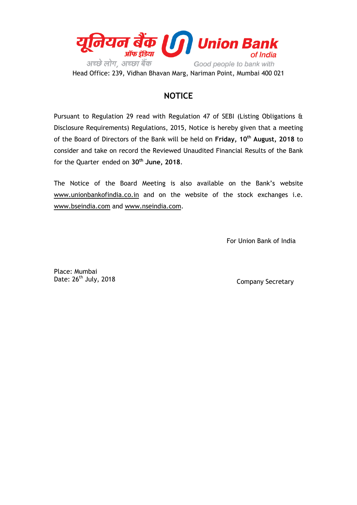

Head Office: 239, Vidhan Bhavan Marg, Nariman Point, Mumbai 400 021

## **NOTICE**

Pursuant to Regulation 29 read with Regulation 47 of SEBI (Listing Obligations & Disclosure Requirements) Regulations, 2015, Notice is hereby given that a meeting of the Board of Directors of the Bank will be held on **Friday, 10th August, 2018** to consider and take on record the Reviewed Unaudited Financial Results of the Bank for the Quarter ended on **30th June, 2018**.

The Notice of the Board Meeting is also available on the Bank's website [www.unionbankofindia.co.in](http://www.unionbankofindia.co.in/) and on the website of the stock exchanges i.e. [www.bseindia.com](http://www.bseindia.com/) and [www.nseindia.com.](http://www.nseindia.com/)

For Union Bank of India

Place: Mumbai Date: 26<sup>th</sup> July, 2018

Company Secretary